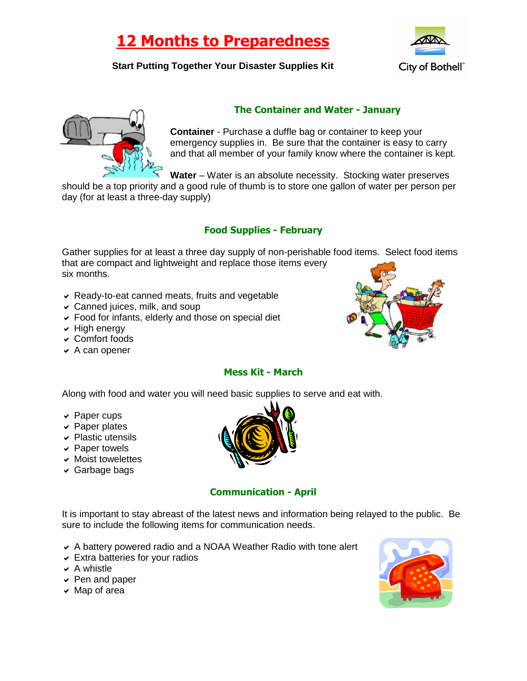# **12 Months to Preparedness**

### **Start Putting Together Your Disaster Supplies Kit**





### **The Container and Water - January**

**Container** - Purchase a duffle bag or container to keep your emergency supplies in. Be sure that the container is easy to carry and that all member of your family know where the container is kept.

**Water** – Water is an absolute necessity. Stocking water preserves

should be a top priority and a good rule of thumb is to store one gallon of water per person per day (for at least a three-day supply)

## **Food Supplies - February**

Gather supplies for at least a three day supply of non-perishable food items. Select food items that are compact and lightweight and replace those items every six months.

- Ready-to-eat canned meats, fruits and vegetable
- $\vee$  Canned juices, milk, and soup
- Food for infants, elderly and those on special diet
- $\vee$  High energy
- Comfort foods
- $\vee$  A can opener



# **Mess Kit - March**

Along with food and water you will need basic supplies to serve and eat with.

- $\vee$  Paper cups
- $\vee$  Paper plates
- $\vee$  Plastic utensils
- $\vee$  Paper towels
- $\vee$  Moist towelettes
- $\vee$  Garbage bags



#### **Communication - April**

It is important to stay abreast of the latest news and information being relayed to the public. Be sure to include the following items for communication needs.

- A battery powered radio and a NOAA Weather Radio with tone alert
- $\triangleright$  Extra batteries for your radios
- $\vee$  A whistle
- $\vee$  Pen and paper
- $\vee$  Map of area

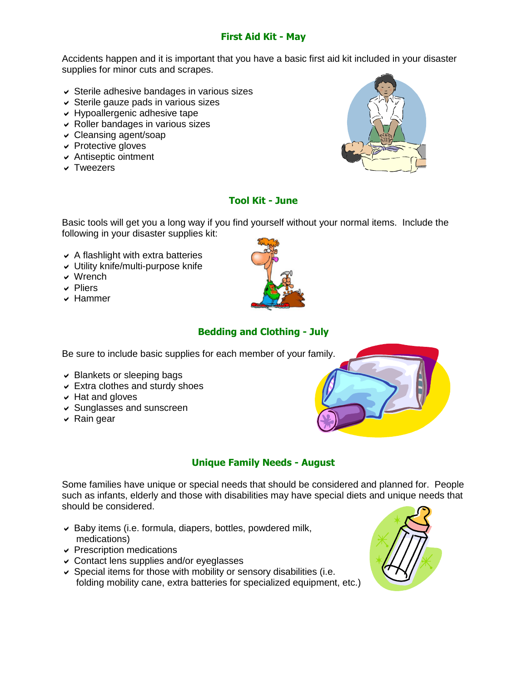#### **First Aid Kit - May**

Accidents happen and it is important that you have a basic first aid kit included in your disaster supplies for minor cuts and scrapes.

- $\vee$  Sterile adhesive bandages in various sizes
- $\vee$  Sterile gauze pads in various sizes
- Hypoallergenic adhesive tape
- $\vee$  Roller bandages in various sizes
- Cleansing agent/soap
- $\vee$  Protective gloves
- Antiseptic ointment
- **v** Tweezers



#### **Tool Kit - June**

Basic tools will get you a long way if you find yourself without your normal items. Include the following in your disaster supplies kit:

- $\triangleright$  A flashlight with extra batteries
- Utility knife/multi-purpose knife
- Wrench
- $\vee$  Pliers
- Hammer



# **Bedding and Clothing - July**

Be sure to include basic supplies for each member of your family.

- $\vee$  Blankets or sleeping bags
- $\vee$  Extra clothes and sturdy shoes
- $\vee$  Hat and gloves
- Sunglasses and sunscreen
- $\vee$  Rain gear



# **Unique Family Needs - August**

Some families have unique or special needs that should be considered and planned for. People such as infants, elderly and those with disabilities may have special diets and unique needs that should be considered.

- $\triangleright$  Baby items (i.e. formula, diapers, bottles, powdered milk, medications)
- $\triangleright$  Prescription medications
- Contact lens supplies and/or eyeglasses
- $\vee$  Special items for those with mobility or sensory disabilities (i.e. folding mobility cane, extra batteries for specialized equipment, etc.)